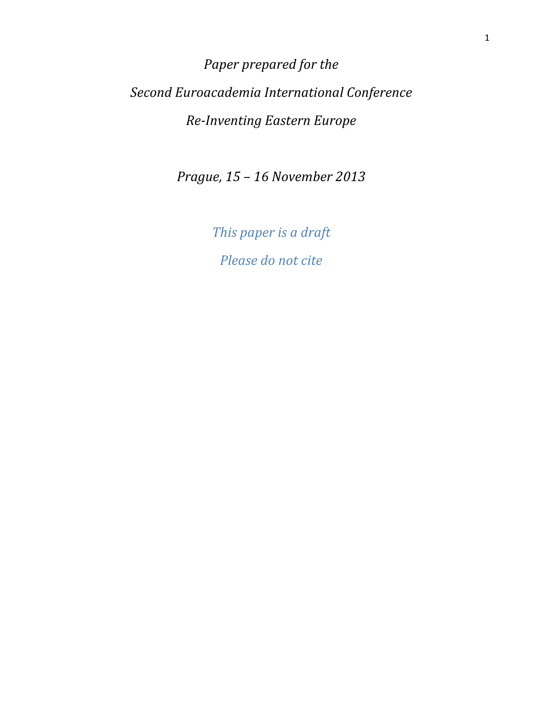Paper prepared for the Second Euroacademia International Conference Re-Inventing Eastern Europe

Prague, 15 – 16 November 2013

This paper is a draft Please do not cite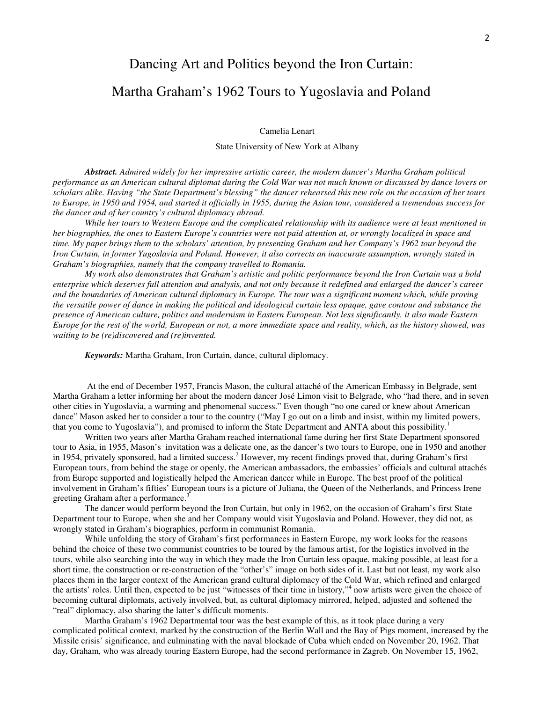## Dancing Art and Politics beyond the Iron Curtain:

## Martha Graham's 1962 Tours to Yugoslavia and Poland

Camelia Lenart

State University of New York at Albany

*Abstract. Admired widely for her impressive artistic career, the modern dancer's Martha Graham political performance as an American cultural diplomat during the Cold War was not much known or discussed by dance lovers or scholars alike. Having "the State Department's blessing" the dancer rehearsed this new role on the occasion of her tours to Europe, in 1950 and 1954, and started it officially in 1955, during the Asian tour, considered a tremendous success for the dancer and of her country's cultural diplomacy abroad.* 

*While her tours to Western Europe and the complicated relationship with its audience were at least mentioned in her biographies, the ones to Eastern Europe's countries were not paid attention at, or wrongly localized in space and time. My paper brings them to the scholars' attention, by presenting Graham and her Company's 1962 tour beyond the Iron Curtain, in former Yugoslavia and Poland. However, it also corrects an inaccurate assumption, wrongly stated in Graham's biographies, namely that the company travelled to Romania.* 

*My work also demonstrates that Graham's artistic and politic performance beyond the Iron Curtain was a bold enterprise which deserves full attention and analysis, and not only because it redefined and enlarged the dancer's career and the boundaries of American cultural diplomacy in Europe. The tour was a significant moment which, while proving the versatile power of dance in making the political and ideological curtain less opaque, gave contour and substance the presence of American culture, politics and modernism in Eastern European. Not less significantly, it also made Eastern Europe for the rest of the world, European or not, a more immediate space and reality, which, as the history showed, was waiting to be (re)discovered and (re)invented.* 

*Keywords:* Martha Graham, Iron Curtain, dance, cultural diplomacy.

 At the end of December 1957, Francis Mason, the cultural attaché of the American Embassy in Belgrade, sent Martha Graham a letter informing her about the modern dancer José Limon visit to Belgrade, who "had there, and in seven other cities in Yugoslavia, a warming and phenomenal success." Even though "no one cared or knew about American dance" Mason asked her to consider a tour to the country ("May I go out on a limb and insist, within my limited powers, that you come to Yugoslavia"), and promised to inform the State Department and ANTA about this possibility.<sup>1</sup>

Written two years after Martha Graham reached international fame during her first State Department sponsored tour to Asia, in 1955, Mason's invitation was a delicate one, as the dancer's two tours to Europe, one in 1950 and another in 1954, privately sponsored, had a limited success. 2 However, my recent findings proved that, during Graham's first European tours, from behind the stage or openly, the American ambassadors, the embassies' officials and cultural attachés from Europe supported and logistically helped the American dancer while in Europe. The best proof of the political involvement in Graham's fifties' European tours is a picture of Juliana, the Queen of the Netherlands, and Princess Irene greeting Graham after a performance.<sup>3</sup>

The dancer would perform beyond the Iron Curtain, but only in 1962, on the occasion of Graham's first State Department tour to Europe, when she and her Company would visit Yugoslavia and Poland. However, they did not, as wrongly stated in Graham's biographies, perform in communist Romania.

While unfolding the story of Graham's first performances in Eastern Europe, my work looks for the reasons behind the choice of these two communist countries to be toured by the famous artist, for the logistics involved in the tours, while also searching into the way in which they made the Iron Curtain less opaque, making possible, at least for a short time, the construction or re-construction of the "other's" image on both sides of it. Last but not least, my work also places them in the larger context of the American grand cultural diplomacy of the Cold War, which refined and enlarged the artists' roles. Until then, expected to be just "witnesses of their time in history,"<sup>4</sup> now artists were given the choice of becoming cultural diplomats, actively involved, but, as cultural diplomacy mirrored, helped, adjusted and softened the "real" diplomacy, also sharing the latter's difficult moments.

Martha Graham's 1962 Departmental tour was the best example of this, as it took place during a very complicated political context, marked by the construction of the Berlin Wall and the Bay of Pigs moment, increased by the Missile crisis' significance, and culminating with the naval blockade of Cuba which ended on November 20, 1962. That day, Graham, who was already touring Eastern Europe, had the second performance in Zagreb. On November 15, 1962,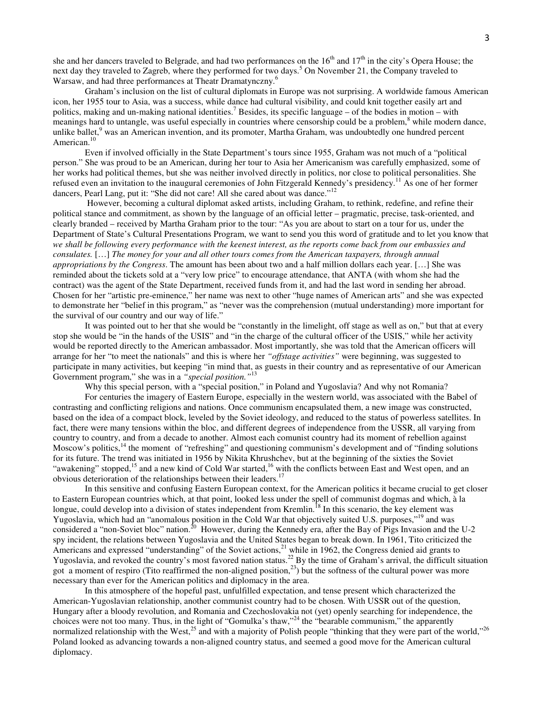she and her dancers traveled to Belgrade, and had two performances on the  $16<sup>th</sup>$  and  $17<sup>th</sup>$  in the city's Opera House; the next day they traveled to Zagreb, where they performed for two days.<sup>5</sup> On November 21, the Company traveled to Warsaw, and had three performances at Theatr Dramatynczny.<sup>6</sup>

Graham's inclusion on the list of cultural diplomats in Europe was not surprising. A worldwide famous American icon, her 1955 tour to Asia, was a success, while dance had cultural visibility, and could knit together easily art and politics, making and un-making national identities.<sup>7</sup> Besides, its specific language – of the bodies in motion – with meanings hard to untangle, was useful especially in countries where censorship could be a problem,<sup>8</sup> while modern dance, unlike ballet,<sup>9</sup> was an American invention, and its promoter, Martha Graham, was undoubtedly one hundred percent American.<sup>10</sup>

Even if involved officially in the State Department's tours since 1955, Graham was not much of a "political person." She was proud to be an American, during her tour to Asia her Americanism was carefully emphasized, some of her works had political themes, but she was neither involved directly in politics, nor close to political personalities. She refused even an invitation to the inaugural ceremonies of John Fitzgerald Kennedy's presidency.<sup>11</sup> As one of her former dancers, Pearl Lang, put it: "She did not care! All she cared about was dance."<sup>12</sup>

 However, becoming a cultural diplomat asked artists, including Graham, to rethink, redefine, and refine their political stance and commitment, as shown by the language of an official letter – pragmatic, precise, task-oriented, and clearly branded – received by Martha Graham prior to the tour: "As you are about to start on a tour for us, under the Department of State's Cultural Presentations Program, we want to send you this word of gratitude and to let you know that *we shall be following every performance with the keenest interest, as the reports come back from our embassies and consulates.* […] *The money for your and all other tours comes from the American taxpayers, through annual appropriations by the Congress*. The amount has been about two and a half million dollars each year. […] She was reminded about the tickets sold at a "very low price" to encourage attendance, that ANTA (with whom she had the contract) was the agent of the State Department, received funds from it, and had the last word in sending her abroad. Chosen for her "artistic pre-eminence," her name was next to other "huge names of American arts" and she was expected to demonstrate her "belief in this program," as "never was the comprehension (mutual understanding) more important for the survival of our country and our way of life."

It was pointed out to her that she would be "constantly in the limelight, off stage as well as on," but that at every stop she would be "in the hands of the USIS" and "in the charge of the cultural officer of the USIS," while her activity would be reported directly to the American ambassador. Most importantly, she was told that the American officers will arrange for her "to meet the nationals" and this is where her *"offstage activities"* were beginning, was suggested to participate in many activities, but keeping "in mind that, as guests in their country and as representative of our American Government program," she was in a *"special position."*<sup>13</sup>

Why this special person, with a "special position," in Poland and Yugoslavia? And why not Romania?

For centuries the imagery of Eastern Europe, especially in the western world, was associated with the Babel of contrasting and conflicting religions and nations. Once communism encapsulated them, a new image was constructed, based on the idea of a compact block, leveled by the Soviet ideology, and reduced to the status of powerless satellites. In fact, there were many tensions within the bloc, and different degrees of independence from the USSR, all varying from country to country, and from a decade to another. Almost each comunist country had its moment of rebellion against Moscow's politics,<sup>14</sup> the moment of "refreshing" and questioning communism's development and of "finding solutions" for its future. The trend was initiated in 1956 by Nikita Khrushchev, but at the beginning of the sixties the Soviet "awakening" stopped,<sup>15</sup> and a new kind of Cold War started,<sup>16</sup> with the conflicts between East and West open, and an obvious deterioration of the relationships between their leaders.<sup>17</sup>

In this sensitive and confusing Eastern European context, for the American politics it became crucial to get closer to Eastern European countries which, at that point, looked less under the spell of communist dogmas and which, à la longue, could develop into a division of states independent from Kremlin.<sup>18</sup> In this scenario, the key element was Yugoslavia, which had an "anomalous position in the Cold War that objectively suited U.S. purposes,"<sup>19</sup> and was considered a "non-Soviet bloc" nation.<sup>20</sup> However, during the Kennedy era, after the Bay of Pigs Invasion and the U-2 spy incident, the relations between Yugoslavia and the United States began to break down. In 1961, Tito criticized the Americans and expressed "understanding" of the Soviet actions, $21$  while in 1962, the Congress denied aid grants to Yugoslavia, and revoked the country's most favored nation status.<sup>22</sup> By the time of Graham's arrival, the difficult situation got a moment of respiro (Tito reaffirmed the non-aligned position, $^{23}$ ) but the softness of the cultural power was more necessary than ever for the American politics and diplomacy in the area.

In this atmosphere of the hopeful past, unfulfilled expectation, and tense present which characterized the American-Yugoslavian relationship, another communist country had to be chosen. With USSR out of the question, Hungary after a bloody revolution, and Romania and Czechoslovakia not (yet) openly searching for independence, the choices were not too many. Thus, in the light of "Gomulka's thaw,"<sup>24</sup> the "bearable communism," the apparently normalized relationship with the West,<sup>25</sup> and with a majority of Polish people "thinking that they were part of the world,"<sup>26</sup> Poland looked as advancing towards a non-aligned country status, and seemed a good move for the American cultural diplomacy.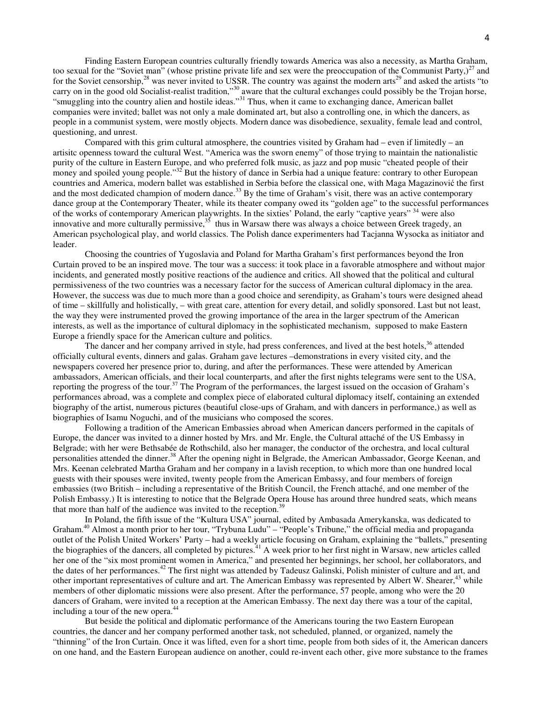Finding Eastern European countries culturally friendly towards America was also a necessity, as Martha Graham, too sexual for the "Soviet man" (whose pristine private life and sex were the preoccupation of the Communist Party,) $^{27}$  and for the Soviet censorship,<sup>28</sup> was never invited to USSR. The country was against the modern arts<sup>29</sup> and asked the artists "to carry on in the good old Socialist-realist tradition,"<sup>30</sup> aware that the cultural exchanges could possibly be the Trojan horse, "smuggling into the country alien and hostile ideas."<sup>31</sup> Thus, when it came to exchanging dance, American ballet companies were invited; ballet was not only a male dominated art, but also a controlling one, in which the dancers, as people in a communist system, were mostly objects. Modern dance was disobedience, sexuality, female lead and control, questioning, and unrest.

Compared with this grim cultural atmosphere, the countries visited by Graham had – even if limitedly – an artisitc openness toward the cultural West. "America was the sworn enemy" of those trying to maintain the nationalistic purity of the culture in Eastern Europe, and who preferred folk music, as jazz and pop music "cheated people of their money and spoiled young people." $32$  But the history of dance in Serbia had a unique feature: contrary to other European countries and America, modern ballet was established in Serbia before the classical one, with Maga Magazinović the first and the most dedicated champion of modern dance.<sup>33</sup> By the time of Graham's visit, there was an active contemporary dance group at the Contemporary Theater, while its theater company owed its "golden age" to the successful performances of the works of contemporary American playwrights. In the sixties' Poland, the early "captive years" <sup>34</sup> were also innovative and more culturally permissive,<sup>35</sup> thus in Warsaw there was always a choice between Greek tragedy, an American psychological play, and world classics. The Polish dance experimenters had Tacjanna Wysocka as initiator and leader.

Choosing the countries of Yugoslavia and Poland for Martha Graham's first performances beyond the Iron Curtain proved to be an inspired move. The tour was a success: it took place in a favorable atmosphere and without major incidents, and generated mostly positive reactions of the audience and critics. All showed that the political and cultural permissiveness of the two countries was a necessary factor for the success of American cultural diplomacy in the area. However, the success was due to much more than a good choice and serendipity, as Graham's tours were designed ahead of time – skillfully and holistically, – with great care, attention for every detail, and solidly sponsored. Last but not least, the way they were instrumented proved the growing importance of the area in the larger spectrum of the American interests, as well as the importance of cultural diplomacy in the sophisticated mechanism, supposed to make Eastern Europe a friendly space for the American culture and politics.

The dancer and her company arrived in style, had press conferences, and lived at the best hotels,<sup>36</sup> attended officially cultural events, dinners and galas. Graham gave lectures –demonstrations in every visited city, and the newspapers covered her presence prior to, during, and after the performances. These were attended by American ambassadors, American officials, and their local counterparts, and after the first nights telegrams were sent to the USA, reporting the progress of the tour.<sup>37</sup> The Program of the performances, the largest issued on the occasion of Graham's performances abroad, was a complete and complex piece of elaborated cultural diplomacy itself, containing an extended biography of the artist, numerous pictures (beautiful close-ups of Graham, and with dancers in performance,) as well as biographies of Isamu Noguchi, and of the musicians who composed the scores.

Following a tradition of the American Embassies abroad when American dancers performed in the capitals of Europe, the dancer was invited to a dinner hosted by Mrs. and Mr. Engle, the Cultural attaché of the US Embassy in Belgrade; with her were Bethsabée de Rothschild, also her manager, the conductor of the orchestra, and local cultural personalities attended the dinner.<sup>38</sup> After the opening night in Belgrade, the American Ambassador, George Keenan, and Mrs. Keenan celebrated Martha Graham and her company in a lavish reception, to which more than one hundred local guests with their spouses were invited, twenty people from the American Embassy, and four members of foreign embassies (two British – including a representative of the British Council, the French attaché, and one member of the Polish Embassy.) It is interesting to notice that the Belgrade Opera House has around three hundred seats, which means that more than half of the audience was invited to the reception.<sup>39</sup>

In Poland, the fifth issue of the "Kultura USA" journal, edited by Ambasada Amerykanska, was dedicated to Graham.<sup>40</sup> Almost a month prior to her tour, "Trybuna Ludu" – "People's Tribune," the official media and propaganda outlet of the Polish United Workers' Party – had a weekly article focusing on Graham, explaining the "ballets," presenting the biographies of the dancers, all completed by pictures.<sup>41</sup> A week prior to her first night in Warsaw, new articles called her one of the "six most prominent women in America," and presented her beginnings, her school, her collaborators, and the dates of her performances.<sup>42</sup> The first night was attended by Tadeusz Galinski, Polish minister of culture and art, and other important representatives of culture and art. The American Embassy was represented by Albert W. Shearer,<sup>43</sup> while members of other diplomatic missions were also present. After the performance, 57 people, among who were the 20 dancers of Graham, were invited to a reception at the American Embassy. The next day there was a tour of the capital, including a tour of the new opera.<sup>44</sup>

But beside the political and diplomatic performance of the Americans touring the two Eastern European countries, the dancer and her company performed another task, not scheduled, planned, or organized, namely the "thinning" of the Iron Curtain. Once it was lifted, even for a short time, people from both sides of it, the American dancers on one hand, and the Eastern European audience on another, could re-invent each other, give more substance to the frames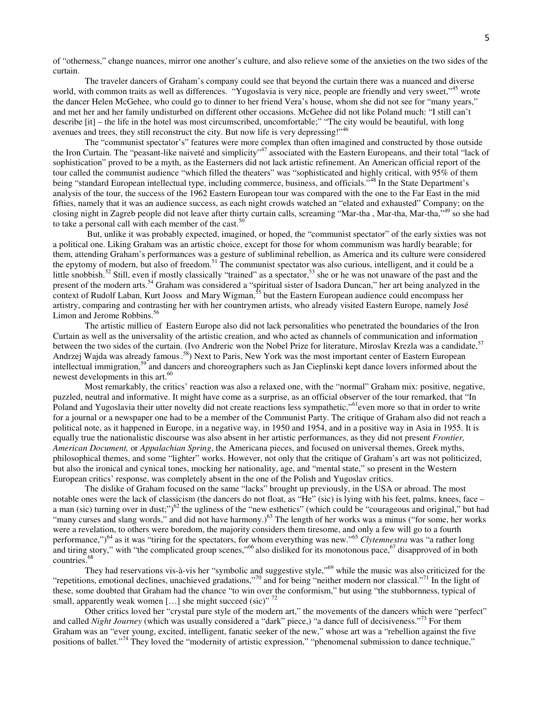of "otherness," change nuances, mirror one another's culture, and also relieve some of the anxieties on the two sides of the curtain.

The traveler dancers of Graham's company could see that beyond the curtain there was a nuanced and diverse world, with common traits as well as differences. "Yugoslavia is very nice, people are friendly and very sweet,"<sup>45</sup> wrote the dancer Helen McGehee, who could go to dinner to her friend Vera's house, whom she did not see for "many years," and met her and her family undisturbed on different other occasions. McGehee did not like Poland much: "I still can't describe [it] – the life in the hotel was most circumscribed, uncomfortable;" "The city would be beautiful, with long avenues and trees, they still reconstruct the city. But now life is very depressing!"<sup>46</sup>

The "communist spectator's" features were more complex than often imagined and constructed by those outside the Iron Curtain. The "peasant-like naiveté and simplicity"<sup>47</sup> associated with the Eastern Europeans, and their total "lack of sophistication" proved to be a myth, as the Easterners did not lack artistic refinement. An American official report of the tour called the communist audience "which filled the theaters" was "sophisticated and highly critical, with 95% of them being "standard European intellectual type, including commerce, business, and officials."<sup>48</sup> In the State Department's analysis of the tour, the success of the 1962 Eastern European tour was compared with the one to the Far East in the mid fifties, namely that it was an audience success, as each night crowds watched an "elated and exhausted" Company; on the closing night in Zagreb people did not leave after thirty curtain calls, screaming "Mar-tha, Mar-tha, Mar-tha,"<sup>49</sup> so she had to take a personal call with each member of the cast.<sup>50</sup>

 But, unlike it was probably expected, imagined, or hoped, the "communist spectator" of the early sixties was not a political one. Liking Graham was an artistic choice, except for those for whom communism was hardly bearable; for them, attending Graham's performances was a gesture of subliminal rebellion, as America and its culture were considered the epytomy of modern, but also of freedom.<sup>51</sup> The communist spectator was also curious, intelligent, and it could be a little snobbish.<sup>52</sup> Still, even if mostly classically "trained" as a spectator,<sup>53</sup> she or he was not unaware of the past and the present of the modern arts.<sup>54</sup> Graham was considered a "spiritual sister of Isadora Duncan," her art being analyzed in the context of Rudolf Laban, Kurt Jooss and Mary Wigman,<sup>55</sup> but the Eastern European audience could encompass her artistry, comparing and contrasting her with her countrymen artists, who already visited Eastern Europe, namely José Limon and Jerome Robbins.<sup>56</sup>

The artistic millieu of Eastern Europe also did not lack personalities who penetrated the boundaries of the Iron Curtain as well as the universality of the artistic creation, and who acted as channels of communication and information between the two sides of the curtain. (Ivo Andreric won the Nobel Prize for literature, Miroslav Krezla was a candidate, Andrzej Wajda was already famous.<sup>58</sup>) Next to Paris, New York was the most important center of Eastern European intellectual immigration,<sup>59</sup> and dancers and choreographers such as Jan Cieplinski kept dance lovers informed about the newest developments in this art.<sup>60</sup>

Most remarkably, the critics' reaction was also a relaxed one, with the "normal" Graham mix: positive, negative, puzzled, neutral and informative. It might have come as a surprise, as an official observer of the tour remarked, that "In Poland and Yugoslavia their utter novelty did not create reactions less sympathetic,"<sup>61</sup>even more so that in order to write for a journal or a newspaper one had to be a member of the Communist Party. The critique of Graham also did not reach a political note, as it happened in Europe, in a negative way, in 1950 and 1954, and in a positive way in Asia in 1955. It is equally true the nationalistic discourse was also absent in her artistic performances, as they did not present *Frontier, American Document,* or *Appalachian Spring*, the Americana pieces, and focused on universal themes, Greek myths, philosophical themes, and some "lighter" works. However, not only that the critique of Graham's art was not politicized, but also the ironical and cynical tones, mocking her nationality, age, and "mental state," so present in the Western European critics' response, was completely absent in the one of the Polish and Yugoslav critics.

The dislike of Graham focused on the same "lacks" brought up previously, in the USA or abroad. The most notable ones were the lack of classicism (the dancers do not float, as "He" (sic) is lying with his feet, palms, knees, face – a man (sic) turning over in dust;" $)^{62}$  the ugliness of the "new esthetics" (which could be "courageous and original," but had "many curses and slang words," and did not have harmony.)<sup>63</sup> The length of her works was a minus ("for some, her works were a revelation, to others were boredom, the majority considers them tiresome, and only a few will go to a fourth performance,")<sup>64</sup> as it was "tiring for the spectators, for whom everything was new."<sup>65</sup> *Clytemnestra* was "a rather long and tiring story," with "the complicated group scenes,"<sup>66</sup> also disliked for its monotonous pace,  $67$  disapproved of in both countries.<sup>68</sup>

They had reservations vis-à-vis her "symbolic and suggestive style,"<sup>69</sup> while the music was also criticized for the "repetitions, emotional declines, unachieved gradations,"<sup>70</sup> and for being "neither modern nor classical."<sup>71</sup> In the light of these, some doubted that Graham had the chance "to win over the conformism," but using "the stubbornness, typical of small, apparently weak women [...] she might succeed (sic)" 72

Other critics loved her "crystal pure style of the modern art," the movements of the dancers which were "perfect" and called *Night Journey* (which was usually considered a "dark" piece,) "a dance full of decisiveness."<sup>73</sup> For them Graham was an "ever young, excited, intelligent, fanatic seeker of the new," whose art was a "rebellion against the five positions of ballet."<sup>74</sup> They loved the "modernity of artistic expression," "phenomenal submission to dance technique,"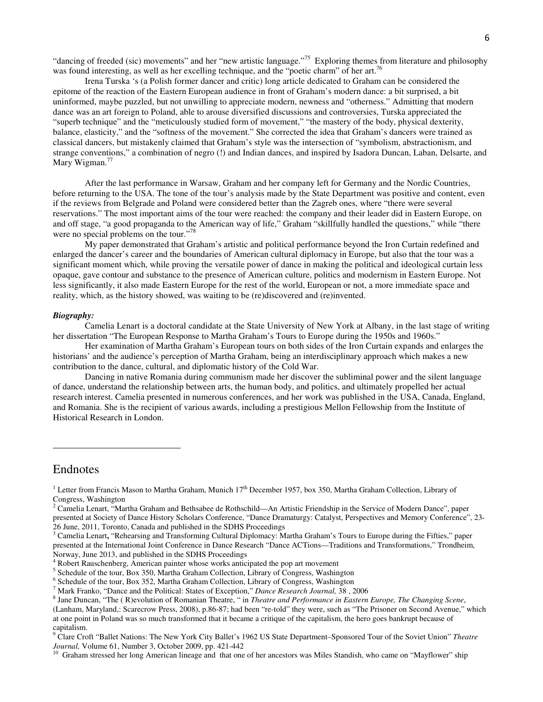"dancing of freeded (sic) movements" and her "new artistic language."<sup>75</sup> Exploring themes from literature and philosophy was found interesting, as well as her excelling technique, and the "poetic charm" of her art.<sup>76</sup>

Irena Turska 's (a Polish former dancer and critic) long article dedicated to Graham can be considered the epitome of the reaction of the Eastern European audience in front of Graham's modern dance: a bit surprised, a bit uninformed, maybe puzzled, but not unwilling to appreciate modern, newness and "otherness." Admitting that modern dance was an art foreign to Poland, able to arouse diversified discussions and controversies, Turska appreciated the "superb technique" and the "meticulously studied form of movement," "the mastery of the body, physical dexterity, balance, elasticity," and the "softness of the movement." She corrected the idea that Graham's dancers were trained as classical dancers, but mistakenly claimed that Graham's style was the intersection of "symbolism, abstractionism, and strange conventions," a combination of negro (!) and Indian dances, and inspired by Isadora Duncan, Laban, Delsarte, and Mary Wigman.<sup>77</sup>

After the last performance in Warsaw, Graham and her company left for Germany and the Nordic Countries, before returning to the USA. The tone of the tour's analysis made by the State Department was positive and content, even if the reviews from Belgrade and Poland were considered better than the Zagreb ones, where "there were several reservations." The most important aims of the tour were reached: the company and their leader did in Eastern Europe, on and off stage, "a good propaganda to the American way of life," Graham "skillfully handled the questions," while "there were no special problems on the tour."<sup>78</sup>

My paper demonstrated that Graham's artistic and political performance beyond the Iron Curtain redefined and enlarged the dancer's career and the boundaries of American cultural diplomacy in Europe, but also that the tour was a significant moment which, while proving the versatile power of dance in making the political and ideological curtain less opaque, gave contour and substance to the presence of American culture, politics and modernism in Eastern Europe. Not less significantly, it also made Eastern Europe for the rest of the world, European or not, a more immediate space and reality, which, as the history showed, was waiting to be (re)discovered and (re)invented.

## *Biography:*

Camelia Lenart is a doctoral candidate at the State University of New York at Albany, in the last stage of writing her dissertation "The European Response to Martha Graham's Tours to Europe during the 1950s and 1960s."

Her examination of Martha Graham's European tours on both sides of the Iron Curtain expands and enlarges the historians' and the audience's perception of Martha Graham, being an interdisciplinary approach which makes a new contribution to the dance, cultural, and diplomatic history of the Cold War.

Dancing in native Romania during communism made her discover the subliminal power and the silent language of dance, understand the relationship between arts, the human body, and politics, and ultimately propelled her actual research interest. Camelia presented in numerous conferences, and her work was published in the USA, Canada, England, and Romania. She is the recipient of various awards, including a prestigious Mellon Fellowship from the Institute of Historical Research in London.

## Endnotes

 $\overline{a}$ 

<sup>&</sup>lt;sup>1</sup> Letter from Francis Mason to Martha Graham, Munich  $17<sup>th</sup>$  December 1957, box 350, Martha Graham Collection, Library of Congress, Washington

<sup>&</sup>lt;sup>2</sup> Camelia Lenart, "Martha Graham and Bethsabee de Rothschild—An Artistic Friendship in the Service of Modern Dance", paper presented at Society of Dance History Scholars Conference, "Dance Dramaturgy: Catalyst, Perspectives and Memory Conference", 23- 26 June, 2011, Toronto, Canada and published in the SDHS Proceedings

<sup>&</sup>lt;sup>3</sup> Camelia Lenart, "Rehearsing and Transforming Cultural Diplomacy: Martha Graham's Tours to Europe during the Fifties," paper presented at the International Joint Conference in Dance Research "Dance ACTions—Traditions and Transformations," Trondheim, Norway, June 2013, and published in the SDHS Proceedings

<sup>&</sup>lt;sup>4</sup> Robert Rauschenberg, American painter whose works anticipated the pop art movement

<sup>&</sup>lt;sup>5</sup> Schedule of the tour, Box 350, Martha Graham Collection, Library of Congress, Washington

<sup>&</sup>lt;sup>6</sup> Schedule of the tour, Box 352, Martha Graham Collection, Library of Congress, Washington

<sup>7</sup> Mark Franko, "Dance and the Political: States of Exception," *Dance Research Journal,* 38 , 2006

<sup>8</sup> Jane Duncan, "The ( R)evolution of Romanian Theatre, " in *Theatre and Performance in Eastern Europe, The Changing Scene*,

<sup>(</sup>Lanham, Maryland,: Scarecrow Press, 2008), p.86-87; had been "re-told" they were, such as "The Prisoner on Second Avenue," which at one point in Poland was so much transformed that it became a critique of the capitalism, the hero goes bankrupt because of capitalism.

<sup>9</sup> Clare Croft "Ballet Nations: The New York City Ballet's 1962 US State Department–Sponsored Tour of the Soviet Union" *Theatre Journal,* Volume 61, Number 3, October 2009, pp. 421-442

<sup>&</sup>lt;sup>10</sup> Graham stressed her long American lineage and that one of her ancestors was Miles Standish, who came on "Mayflower" ship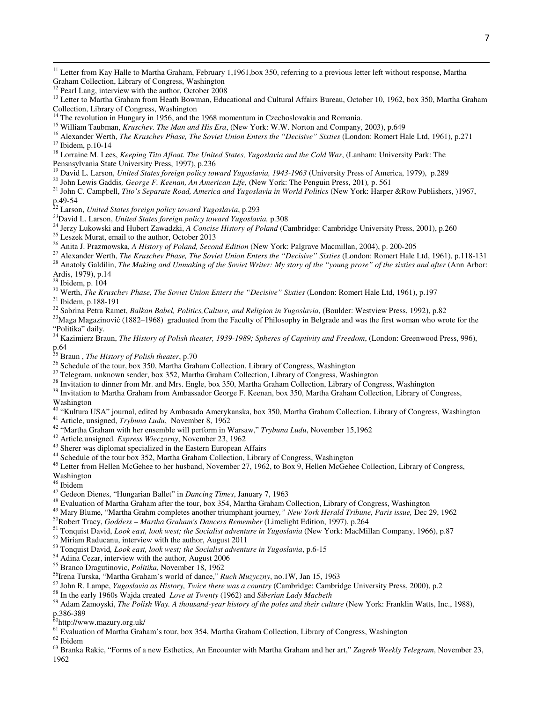<sup>11</sup> Letter from Kay Halle to Martha Graham, February 1,1961,box 350, referring to a previous letter left without response, Martha Graham Collection, Library of Congress, Washington

<sup>12</sup> Pearl Lang, interview with the author, October 2008

<sup>13</sup> Letter to Martha Graham from Heath Bowman, Educational and Cultural Affairs Bureau, October 10, 1962, box 350, Martha Graham Collection, Library of Congress, Washington

The revolution in Hungary in 1956, and the 1968 momentum in Czechoslovakia and Romania.

William Taubman, *Kruschev. The Man and His Era*, (New York: W.W. Norton and Company, 2003), p.649

Alexander Werth, *The Kruschev Phase, The Soviet Union Enters the "Decisive" Sixties* (London: Romert Hale Ltd, 1961), p.271

Ibidem, p.10-14

 $\overline{a}$ 

 Lorraine M. Lees, *Keeping Tito Afloat. The United States, Yugoslavia and the Cold War*, (Lanham: University Park: The Pensnsylvania State University Press, 1997), p.236

<sup>19</sup> David L. Larson, United States foreign policy toward Yugoslavia, 1943-1963 (University Press of America, 1979), p.289

John Lewis Gaddis*, George F. Keenan, An American Life,* (New York: The Penguin Press, 201)*,* p. 561

 John C. Campbell, *Tito's Separate Road, America and Yugoslavia in World Politics* (New York: Harper &Row Publishers, )1967, p.49-54

Larson, *United States foreign policy toward Yugoslavia*, p.293

David L. Larson, *United States foreign policy toward Yugoslavia,* p.308

Jerzy Lukowski and Hubert Zawadzki, *A Concise History of Poland* (Cambridge: Cambridge University Press, 2001), p.260

Leszek Murat, email to the author, October 2013

Anita J. Prazmowska, *A History of Poland, Second Edition* (New York: Palgrave Macmillan, 2004), p. 200-205

<sup>27</sup> Alexander Werth, *The Kruschev Phase, The Soviet Union Enters the "Decisive" Sixties (London: Romert Hale Ltd, 1961), p.118-131* 

<sup>28</sup> Anatoly Galdilin, *The Making and Unmaking of the Soviet Writer: My story of the "young prose" of the sixties and after (Ann Arbor:* Ardis, 1979), p.14

Ibidem, p. 104

<sup>30</sup> Werth, *The Kruschev Phase, The Soviet Union Enters the "Decisive" Sixties (London: Romert Hale Ltd, 1961), p.197* 

Ibidem, p.188-191

Sabrina Petra Ramet, *Balkan Babel, Politics,Culture, and Religion in Yugoslavia*, (Boulder: Westview Press, 1992), p.82

Maga Magazinović (1882–1968) graduated from the Faculty of Philosophy in Belgrade and was the first woman who wrote for the "Politika" daily.

 Kazimierz Braun, *The History of Polish theater, 1939-1989; Spheres of Captivity and Freedom*, (London: Greenwood Press, 996),  $p.64$ <sub>35</sub>

Braun , *The History of Polish theater*, p.70

<sup>36</sup> Schedule of the tour, box 350, Martha Graham Collection, Library of Congress, Washington

<sup>37</sup> Telegram, unknown sender, box 352, Martha Graham Collection, Library of Congress, Washington

<sup>38</sup> Invitation to dinner from Mr. and Mrs. Engle, box 350, Martha Graham Collection, Library of Congress, Washington

<sup>39</sup> Invitation to Martha Graham from Ambassador George F. Keenan, box 350, Martha Graham Collection, Library of Congress, Washington

<sup>40</sup> "Kultura USA" journal, edited by Ambasada Amerykanska, box 350, Martha Graham Collection, Library of Congress, Washington

Article, unsigned, *Trybuna Ludu*, November 8, 1962

"Martha Graham with her ensemble will perform in Warsaw," *Trybuna Ludu*, November 15,1962

Article*,*unsigned*, Express Wieczorny*, November 23, 1962

Sherer was diplomat specialized in the Eastern European Affairs

<sup>44</sup> Schedule of the tour box 352, Martha Graham Collection, Library of Congress, Washington

 $^{45}$  Letter from Hellen McGehee to her husband, November 27, 1962, to Box 9, Hellen McGehee Collection, Library of Congress, Washington

Ibidem

Gedeon Dienes, "Hungarian Ballet" in *Dancing Times*, January 7, 1963

Evaluation of Martha Graham after the tour, box 354, Martha Graham Collection, Library of Congress, Washington

Mary Blume, "Martha Grahm completes another triumphant journey*," New York Herald Tribune, Paris issue,* Dec 29, 1962

Robert Tracy, *Goddess – Martha Graham's Dancers Remember* (Limelight Edition, 1997), p.264

Tonquist David, *Look east, look west; the Socialist adventure in Yugoslavia* (New York: MacMillan Company, 1966), p.87

Miriam Raducanu, interview with the author, August 2011

Tonquist David*, Look east, look west; the Socialist adventure in Yugoslavia*, p.6-15

Adina Cezar, interview with the author, August 2006

Branco Dragutinovic, *Politika*, November 18, 1962

Irena Turska, "Martha Graham's world of dance," *Ruch Muzyczny*, no.1W, Jan 15, 1963

John R. Lampe, *Yugoslavia as History, Twice there was a country* (Cambridge: Cambridge University Press, 2000), p.2

In the early 1960s Wajda created *Love at Twenty* (1962) and *Siberian Lady Macbeth*

 Adam Zamoyski, *The Polish Way. A thousand-year history of the poles and their culture* (New York: Franklin Watts, Inc., 1988), p.386-389

<sup>60</sup>http://www.mazury.org.uk/

Evaluation of Martha Graham's tour, box 354, Martha Graham Collection, Library of Congress, Washington

Ibidem

 Branka Rakic, "Forms of a new Esthetics, An Encounter with Martha Graham and her art," *Zagreb Weekly Telegram*, November 23,